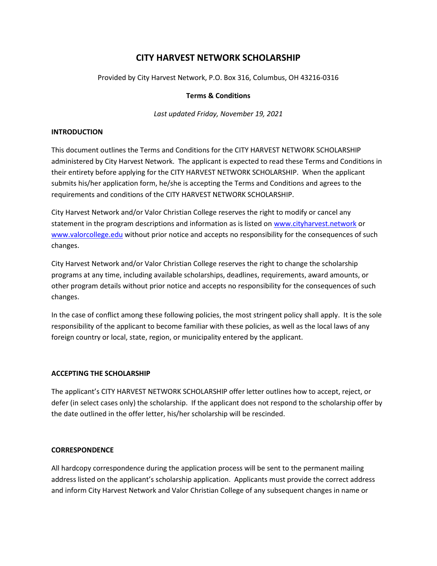# CITY HARVEST NETWORK SCHOLARSHIP

Provided by City Harvest Network, P.O. Box 316, Columbus, OH 43216-0316

#### Terms & Conditions

Last updated Friday, November 19, 2021

#### INTRODUCTION

This document outlines the Terms and Conditions for the CITY HARVEST NETWORK SCHOLARSHIP administered by City Harvest Network. The applicant is expected to read these Terms and Conditions in their entirety before applying for the CITY HARVEST NETWORK SCHOLARSHIP. When the applicant submits his/her application form, he/she is accepting the Terms and Conditions and agrees to the requirements and conditions of the CITY HARVEST NETWORK SCHOLARSHIP.

City Harvest Network and/or Valor Christian College reserves the right to modify or cancel any statement in the program descriptions and information as is listed on www.cityharvest.network or www.valorcollege.edu without prior notice and accepts no responsibility for the consequences of such changes.

City Harvest Network and/or Valor Christian College reserves the right to change the scholarship programs at any time, including available scholarships, deadlines, requirements, award amounts, or other program details without prior notice and accepts no responsibility for the consequences of such changes.

In the case of conflict among these following policies, the most stringent policy shall apply. It is the sole responsibility of the applicant to become familiar with these policies, as well as the local laws of any foreign country or local, state, region, or municipality entered by the applicant.

#### ACCEPTING THE SCHOLARSHIP

The applicant's CITY HARVEST NETWORK SCHOLARSHIP offer letter outlines how to accept, reject, or defer (in select cases only) the scholarship. If the applicant does not respond to the scholarship offer by the date outlined in the offer letter, his/her scholarship will be rescinded.

#### **CORRESPONDENCE**

All hardcopy correspondence during the application process will be sent to the permanent mailing address listed on the applicant's scholarship application. Applicants must provide the correct address and inform City Harvest Network and Valor Christian College of any subsequent changes in name or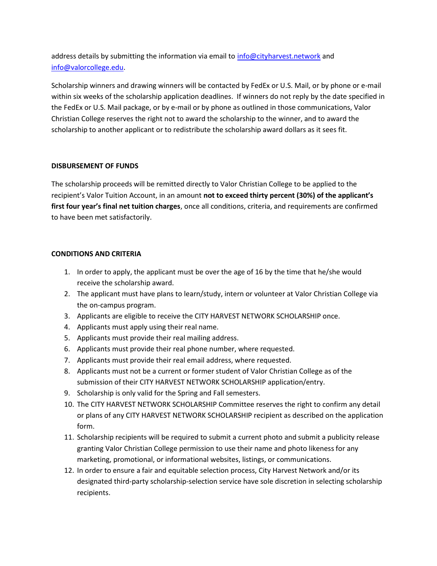address details by submitting the information via email to info@cityharvest.network and info@valorcollege.edu.

Scholarship winners and drawing winners will be contacted by FedEx or U.S. Mail, or by phone or e-mail within six weeks of the scholarship application deadlines. If winners do not reply by the date specified in the FedEx or U.S. Mail package, or by e-mail or by phone as outlined in those communications, Valor Christian College reserves the right not to award the scholarship to the winner, and to award the scholarship to another applicant or to redistribute the scholarship award dollars as it sees fit.

## DISBURSEMENT OF FUNDS

The scholarship proceeds will be remitted directly to Valor Christian College to be applied to the recipient's Valor Tuition Account, in an amount not to exceed thirty percent (30%) of the applicant's first four year's final net tuition charges, once all conditions, criteria, and requirements are confirmed to have been met satisfactorily.

#### CONDITIONS AND CRITERIA

- 1. In order to apply, the applicant must be over the age of 16 by the time that he/she would receive the scholarship award.
- 2. The applicant must have plans to learn/study, intern or volunteer at Valor Christian College via the on-campus program.
- 3. Applicants are eligible to receive the CITY HARVEST NETWORK SCHOLARSHIP once.
- 4. Applicants must apply using their real name.
- 5. Applicants must provide their real mailing address.
- 6. Applicants must provide their real phone number, where requested.
- 7. Applicants must provide their real email address, where requested.
- 8. Applicants must not be a current or former student of Valor Christian College as of the submission of their CITY HARVEST NETWORK SCHOLARSHIP application/entry.
- 9. Scholarship is only valid for the Spring and Fall semesters.
- 10. The CITY HARVEST NETWORK SCHOLARSHIP Committee reserves the right to confirm any detail or plans of any CITY HARVEST NETWORK SCHOLARSHIP recipient as described on the application form.
- 11. Scholarship recipients will be required to submit a current photo and submit a publicity release granting Valor Christian College permission to use their name and photo likeness for any marketing, promotional, or informational websites, listings, or communications.
- 12. In order to ensure a fair and equitable selection process, City Harvest Network and/or its designated third-party scholarship-selection service have sole discretion in selecting scholarship recipients.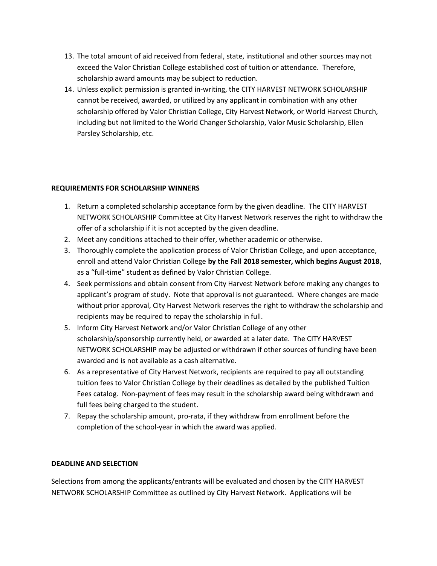- 13. The total amount of aid received from federal, state, institutional and other sources may not exceed the Valor Christian College established cost of tuition or attendance. Therefore, scholarship award amounts may be subject to reduction.
- 14. Unless explicit permission is granted in-writing, the CITY HARVEST NETWORK SCHOLARSHIP cannot be received, awarded, or utilized by any applicant in combination with any other scholarship offered by Valor Christian College, City Harvest Network, or World Harvest Church, including but not limited to the World Changer Scholarship, Valor Music Scholarship, Ellen Parsley Scholarship, etc.

# REQUIREMENTS FOR SCHOLARSHIP WINNERS

- 1. Return a completed scholarship acceptance form by the given deadline. The CITY HARVEST NETWORK SCHOLARSHIP Committee at City Harvest Network reserves the right to withdraw the offer of a scholarship if it is not accepted by the given deadline.
- 2. Meet any conditions attached to their offer, whether academic or otherwise.
- 3. Thoroughly complete the application process of Valor Christian College, and upon acceptance, enroll and attend Valor Christian College by the Fall 2018 semester, which begins August 2018, as a "full-time" student as defined by Valor Christian College.
- 4. Seek permissions and obtain consent from City Harvest Network before making any changes to applicant's program of study. Note that approval is not guaranteed. Where changes are made without prior approval, City Harvest Network reserves the right to withdraw the scholarship and recipients may be required to repay the scholarship in full.
- 5. Inform City Harvest Network and/or Valor Christian College of any other scholarship/sponsorship currently held, or awarded at a later date. The CITY HARVEST NETWORK SCHOLARSHIP may be adjusted or withdrawn if other sources of funding have been awarded and is not available as a cash alternative.
- 6. As a representative of City Harvest Network, recipients are required to pay all outstanding tuition fees to Valor Christian College by their deadlines as detailed by the published Tuition Fees catalog. Non-payment of fees may result in the scholarship award being withdrawn and full fees being charged to the student.
- 7. Repay the scholarship amount, pro-rata, if they withdraw from enrollment before the completion of the school-year in which the award was applied.

#### DEADLINE AND SELECTION

Selections from among the applicants/entrants will be evaluated and chosen by the CITY HARVEST NETWORK SCHOLARSHIP Committee as outlined by City Harvest Network. Applications will be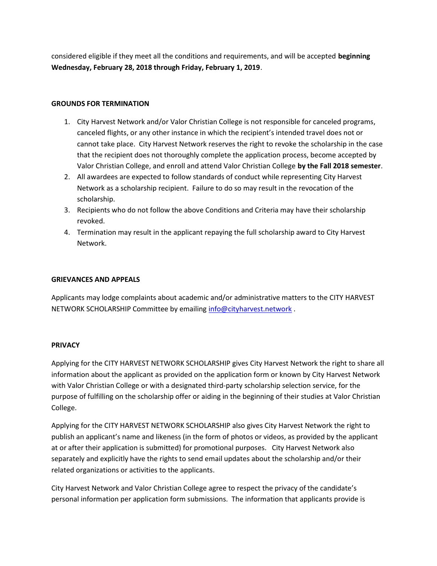considered eligible if they meet all the conditions and requirements, and will be accepted beginning Wednesday, February 28, 2018 through Friday, February 1, 2019.

## GROUNDS FOR TERMINATION

- 1. City Harvest Network and/or Valor Christian College is not responsible for canceled programs, canceled flights, or any other instance in which the recipient's intended travel does not or cannot take place. City Harvest Network reserves the right to revoke the scholarship in the case that the recipient does not thoroughly complete the application process, become accepted by Valor Christian College, and enroll and attend Valor Christian College by the Fall 2018 semester.
- 2. All awardees are expected to follow standards of conduct while representing City Harvest Network as a scholarship recipient. Failure to do so may result in the revocation of the scholarship.
- 3. Recipients who do not follow the above Conditions and Criteria may have their scholarship revoked.
- 4. Termination may result in the applicant repaying the full scholarship award to City Harvest Network.

## GRIEVANCES AND APPEALS

Applicants may lodge complaints about academic and/or administrative matters to the CITY HARVEST NETWORK SCHOLARSHIP Committee by emailing info@cityharvest.network.

#### PRIVACY

Applying for the CITY HARVEST NETWORK SCHOLARSHIP gives City Harvest Network the right to share all information about the applicant as provided on the application form or known by City Harvest Network with Valor Christian College or with a designated third-party scholarship selection service, for the purpose of fulfilling on the scholarship offer or aiding in the beginning of their studies at Valor Christian College.

Applying for the CITY HARVEST NETWORK SCHOLARSHIP also gives City Harvest Network the right to publish an applicant's name and likeness (in the form of photos or videos, as provided by the applicant at or after their application is submitted) for promotional purposes. City Harvest Network also separately and explicitly have the rights to send email updates about the scholarship and/or their related organizations or activities to the applicants.

City Harvest Network and Valor Christian College agree to respect the privacy of the candidate's personal information per application form submissions. The information that applicants provide is